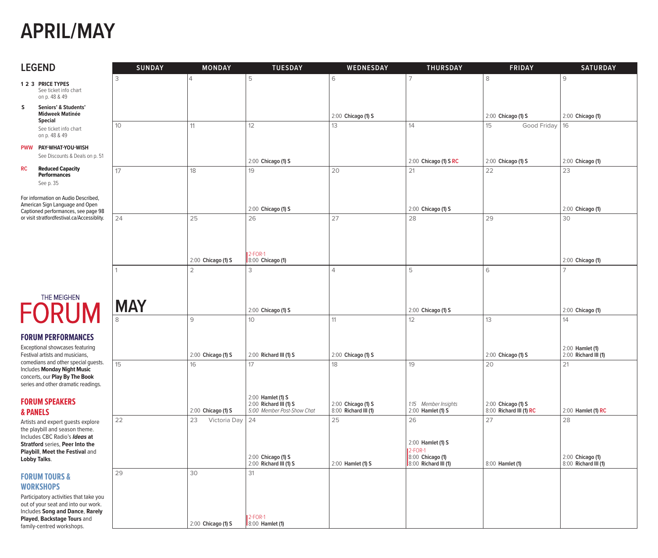## **APRIL/MAY**

| <b>LEGEND</b>                                                                                                 | <b>SUNDAY</b> | <b>MONDAY</b>      | <b>TUESDAY</b>                                                            | <b>WEDNESDAY</b>                           | <b>THURSDAY</b>                           | <b>FRIDAY</b>                                 | <b>SATURDAY</b>                          |
|---------------------------------------------------------------------------------------------------------------|---------------|--------------------|---------------------------------------------------------------------------|--------------------------------------------|-------------------------------------------|-----------------------------------------------|------------------------------------------|
| 1 2 3 PRICE TYPES                                                                                             | 3             | $\overline{4}$     | 5                                                                         | 6                                          | 7                                         | 8                                             | $\mathcal{G}$                            |
| See ticket info chart<br>on p. 48 & 49                                                                        |               |                    |                                                                           |                                            |                                           |                                               |                                          |
| s<br>Seniors' & Students'<br><b>Midweek Matinée</b><br><b>Special</b>                                         |               |                    |                                                                           | 2:00 Chicago (1) S                         |                                           | 2:00 Chicago (1) S                            | 2:00 Chicago (1)                         |
| See ticket info chart<br>on p. 48 & 49                                                                        | 10            | 11                 | 12                                                                        | 13                                         | 14                                        | 15<br>Good Friday                             | 16                                       |
| PWW PAY-WHAT-YOU-WISH<br>See Discounts & Deals on p. 51                                                       |               |                    | 2:00 Chicago (1) S                                                        |                                            | 2:00 Chicago (1) S RC                     | 2:00 Chicago (1) S                            | 2:00 Chicago (1)                         |
| <b>Reduced Capacity</b><br><b>RC</b><br><b>Performances</b><br>See p. 35                                      | 17            | 18                 | 19                                                                        | 20                                         | 21                                        | 22                                            | 23                                       |
| For information on Audio Described,<br>American Sign Language and Open<br>Captioned performances, see page 98 |               |                    | 2:00 Chicago (1) S                                                        |                                            | 2:00 Chicago (1) S                        |                                               | 2:00 Chicago (1)                         |
| or visit stratfordfestival.ca/Accessiblity.                                                                   | 24            | 25                 | 26                                                                        | 27                                         | 28                                        | 29                                            | 30                                       |
|                                                                                                               |               |                    |                                                                           |                                            |                                           |                                               |                                          |
|                                                                                                               |               | 2:00 Chicago (1) S | $2$ -FOR-1<br>8:00 Chicago (1)                                            |                                            |                                           |                                               | 2:00 Chicago (1)                         |
|                                                                                                               | 1             | $\overline{2}$     | 3                                                                         | $\overline{4}$                             | 5                                         | 6                                             | $\overline{7}$                           |
|                                                                                                               |               |                    |                                                                           |                                            |                                           |                                               |                                          |
| THE MEIGHEN<br><b>FORUM</b>                                                                                   | <b>MAY</b>    |                    | 2:00 Chicago (1) S                                                        |                                            | 2:00 Chicago (1) S                        |                                               | 2:00 Chicago (1)                         |
|                                                                                                               |               | $\mathcal{G}$      | 10                                                                        | 11                                         | 12                                        | 13                                            | 14                                       |
| <b>FORUM PERFORMANCES</b>                                                                                     |               |                    |                                                                           |                                            |                                           |                                               |                                          |
| Exceptional showcases featuring<br>Festival artists and musicians,                                            |               | 2:00 Chicago (1) S | 2:00 Richard III (1) S                                                    | 2:00 Chicago (1) S                         |                                           | 2:00 Chicago (1) S                            | 2:00 Hamlet (1)<br>2:00 Richard III (1)  |
| comedians and other special guests.<br>Includes Monday Night Music                                            | 15            | 16                 | 17                                                                        | 18                                         | 19                                        | 20                                            | 21                                       |
| concerts, our Play By The Book<br>series and other dramatic readings.                                         |               |                    |                                                                           |                                            |                                           |                                               |                                          |
| <b>FORUM SPEAKERS</b><br>& PANELS                                                                             |               | 2:00 Chicago (1) S | 2:00 Hamlet (1) S<br>2:00 Richard III (1) S<br>5:00 Member Post-Show Chat | 2:00 Chicago (1) S<br>8:00 Richard III (1) | 1:15 Member Insights<br>2:00 Hamlet (1) S | 2:00 Chicago (1) S<br>8:00 Richard III (1) RC | 2:00 Hamlet (1) RC                       |
| Artists and expert guests explore<br>the playbill and season theme.                                           | 22            | 23<br>Victoria Day | 24                                                                        | 25                                         | 26                                        | 27                                            | 28                                       |
| Includes CBC Radio's Ideas at<br><b>Stratford series, Peer Into the</b><br>Playbill, Meet the Festival and    |               |                    |                                                                           |                                            | 2:00 Hamlet (1) S<br>12-FOR-1             |                                               |                                          |
| Lobby Talks.                                                                                                  |               |                    | 2:00 Chicago (1) S<br>2:00 Richard III (1) S                              | 2:00 Hamlet (1) S                          | 8:00 Chicago (1)<br>8:00 Richard III (1)  | 8:00 Hamlet (1)                               | 2:00 Chicago (1)<br>8:00 Richard III (1) |
| <b>FORUM TOURS &amp;</b><br><b>WORKSHOPS</b>                                                                  | 29            | 30                 | 31                                                                        |                                            |                                           |                                               |                                          |
| Participatory activities that take you<br>out of your seat and into our work.                                 |               |                    |                                                                           |                                            |                                           |                                               |                                          |
| Includes Song and Dance, Rarely<br>Played, Backstage Tours and<br>family-centred workshops.                   |               | 2:00 Chicago (1) S | <b>2-FOR-1</b><br>8:00 Hamlet (1)                                         |                                            |                                           |                                               |                                          |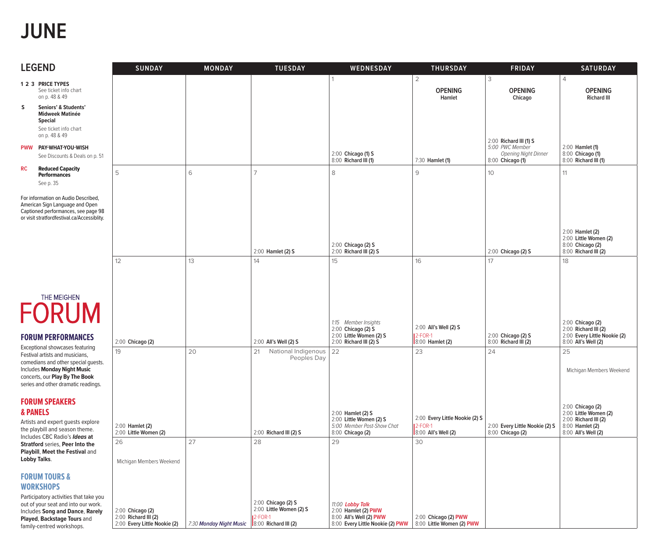## **JUNE**

| <b>LEGEND</b>                                |                                                                                                                                                                                                                   | <b>SUNDAY</b>                                                            | <b>MONDAY</b>                                 | <b>TUESDAY</b>                                                   | WEDNESDAY                                                                                              | <b>THURSDAY</b>                                                         | <b>FRIDAY</b>                                                                         | <b>SATURDAY</b>                                                                                             |
|----------------------------------------------|-------------------------------------------------------------------------------------------------------------------------------------------------------------------------------------------------------------------|--------------------------------------------------------------------------|-----------------------------------------------|------------------------------------------------------------------|--------------------------------------------------------------------------------------------------------|-------------------------------------------------------------------------|---------------------------------------------------------------------------------------|-------------------------------------------------------------------------------------------------------------|
| 1 2 3 PRICE TYPES                            |                                                                                                                                                                                                                   |                                                                          |                                               |                                                                  |                                                                                                        | $\overline{2}$                                                          | 3                                                                                     | $\overline{4}$                                                                                              |
|                                              | See ticket info chart<br>on p. 48 & 49                                                                                                                                                                            |                                                                          |                                               |                                                                  |                                                                                                        | <b>OPENING</b><br>Hamlet                                                | <b>OPENING</b><br>Chicago                                                             | <b>OPENING</b><br><b>Richard III</b>                                                                        |
| s<br><b>Special</b>                          | Seniors' & Students'<br><b>Midweek Matinée</b><br>See ticket info chart<br>on p. 48 & 49                                                                                                                          |                                                                          |                                               |                                                                  |                                                                                                        |                                                                         |                                                                                       |                                                                                                             |
|                                              | PWW PAY-WHAT-YOU-WISH<br>See Discounts & Deals on p. 51                                                                                                                                                           |                                                                          |                                               |                                                                  | 2:00 Chicago (1) S<br>8:00 Richard III (1)                                                             | 7:30 Hamlet (1)                                                         | 2:00 Richard III (1) S<br>5:00 PWC Member<br>Opening Night Dinner<br>8:00 Chicago (1) | 2:00 Hamlet (1)<br>8:00 Chicago (1)<br>8:00 Richard III (1)                                                 |
| RC<br>See p. 35                              | <b>Reduced Capacity</b><br><b>Performances</b>                                                                                                                                                                    | 5                                                                        | 6                                             | $\overline{7}$                                                   | 8                                                                                                      | 9                                                                       | 10 <sup>°</sup>                                                                       | 11                                                                                                          |
|                                              | For information on Audio Described,<br>American Sign Language and Open<br>Captioned performances, see page 98<br>or visit stratfordfestival.ca/Accessiblity.                                                      |                                                                          |                                               |                                                                  | 2:00 Chicago (2) S                                                                                     |                                                                         |                                                                                       | 2:00 Hamlet (2)<br>2:00 Little Women (2)<br>8:00 Chicago (2)                                                |
|                                              |                                                                                                                                                                                                                   |                                                                          |                                               | 2:00 Hamlet (2) S                                                | 2:00 Richard III (2) S                                                                                 |                                                                         | 2:00 Chicago (2) S                                                                    | 8:00 Richard III (2)                                                                                        |
|                                              |                                                                                                                                                                                                                   | 12                                                                       | 13                                            | 14                                                               | 15                                                                                                     | 16                                                                      | 17                                                                                    | 18                                                                                                          |
|                                              | THE MEIGHEN<br><b>FORUM</b><br><b>FORUM PERFORMANCES</b>                                                                                                                                                          | 2:00 Chicago (2)                                                         |                                               | 2:00 All's Well (2) S                                            | 1:15 Member Insights<br>$2:00$ Chicago (2) $S$<br>2:00 Little Women (2) S<br>2:00 Richard III (2) S    | 2:00 All's Well (2) S<br>$2$ -FOR-1<br>8:00 Hamlet (2)                  | $2:00$ Chicago (2) S<br>8:00 Richard III (2)                                          | 2:00 Chicago (2)<br>$2:00$ Richard III (2)<br>2:00 Every Little Nookie (2)<br>8:00 All's Well (2)           |
|                                              | Exceptional showcases featuring<br>Festival artists and musicians,<br>comedians and other special guests.<br>Includes Monday Night Music<br>concerts, our Play By The Book<br>series and other dramatic readings. | 19                                                                       | 20                                            | National Indigenous<br>21<br>Peoples Day                         | 22                                                                                                     | 23                                                                      | 24                                                                                    | 25<br>Michigan Members Weekend                                                                              |
| <b>FORUM SPEAKERS</b><br>& PANELS            | Artists and expert guests explore<br>the playbill and season theme.<br>Includes CBC Radio's Ideas at                                                                                                              | 2:00 Hamlet (2)<br>2:00 Little Women (2)                                 |                                               | 2:00 Richard III (2) S                                           | 2:00 Hamlet (2) S<br>2:00 Little Women (2) S<br>5:00 Member Post-Show Chat<br>8:00 Chicago (2)         | 2:00 Every Little Nookie (2) S<br><b>2-FOR-1</b><br>8:00 All's Well (2) | 2:00 Every Little Nookie (2) S<br>8:00 Chicago (2)                                    | 2:00 Chicago (2)<br>2:00 Little Women (2)<br>2:00 Richard III (2)<br>8:00 Hamlet (2)<br>8:00 All's Well (2) |
| Lobby Talks.                                 | <b>Stratford series, Peer Into the</b><br>Playbill, Meet the Festival and                                                                                                                                         | 26<br>Michigan Members Weekend                                           | 27                                            | 28                                                               | 29                                                                                                     | 30                                                                      |                                                                                       |                                                                                                             |
| <b>FORUM TOURS &amp;</b><br><b>WORKSHOPS</b> | Participatory activities that take you                                                                                                                                                                            |                                                                          |                                               |                                                                  |                                                                                                        |                                                                         |                                                                                       |                                                                                                             |
|                                              | out of your seat and into our work.<br>Includes Song and Dance, Rarely<br>Played, Backstage Tours and<br>family-centred workshops.                                                                                | 2:00 Chicago (2)<br>2:00 Richard III (2)<br>2:00 Every Little Nookie (2) | 7:30 Monday Night Music  8:00 Richard III (2) | 2:00 Chicago (2) S<br>2:00 Little Women (2) S<br><b>12-FOR-1</b> | 11:00 Lobby Talk<br>2:00 Hamlet (2) PWW<br>8:00 All's Well (2) PWW<br>8:00 Every Little Nookie (2) PWW | 2:00 Chicago (2) PWW<br>8:00 Little Women (2) PWW                       |                                                                                       |                                                                                                             |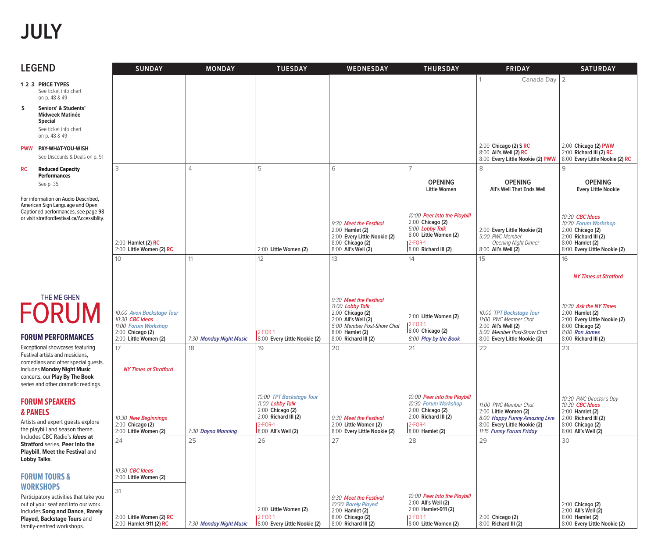# **JULY**

| <b>LEGEND</b>                                                                                                                                                                                                              | <b>SUNDAY</b>                                                                                                           | <b>MONDAY</b>                 | <b>TUESDAY</b>                                                                                                                               | WEDNESDAY                                                                                                                                                            | <b>THURSDAY</b>                                                                                                                              | <b>FRIDAY</b>                                                                                                                                     | <b>SATURDAY</b>                                                                                                                                                               |
|----------------------------------------------------------------------------------------------------------------------------------------------------------------------------------------------------------------------------|-------------------------------------------------------------------------------------------------------------------------|-------------------------------|----------------------------------------------------------------------------------------------------------------------------------------------|----------------------------------------------------------------------------------------------------------------------------------------------------------------------|----------------------------------------------------------------------------------------------------------------------------------------------|---------------------------------------------------------------------------------------------------------------------------------------------------|-------------------------------------------------------------------------------------------------------------------------------------------------------------------------------|
| 1 2 3 PRICE TYPES<br>See ticket info chart<br>on p. 48 & 49                                                                                                                                                                |                                                                                                                         |                               |                                                                                                                                              |                                                                                                                                                                      |                                                                                                                                              | Canada Day                                                                                                                                        | $\overline{2}$                                                                                                                                                                |
| s<br>Seniors' & Students'<br><b>Midweek Matinée</b><br><b>Special</b><br>See ticket info chart<br>on p. 48 & 49                                                                                                            |                                                                                                                         |                               |                                                                                                                                              |                                                                                                                                                                      |                                                                                                                                              |                                                                                                                                                   |                                                                                                                                                                               |
| PWW PAY-WHAT-YOU-WISH<br>See Discounts & Deals on p. 51                                                                                                                                                                    |                                                                                                                         |                               |                                                                                                                                              |                                                                                                                                                                      |                                                                                                                                              | 2:00 Chicago (2) S RC<br>8:00 All's Well (2) RC<br>8:00 Every Little Nookie (2) PWW                                                               | 2:00 Chicago (2) PWW<br>2:00 Richard III (2) RC<br>8:00 Every Little Nookie (2) RC                                                                                            |
| <b>RC</b><br><b>Reduced Capacity</b><br><b>Performances</b><br>See p. 35                                                                                                                                                   | 3                                                                                                                       | $\overline{4}$                | 5                                                                                                                                            | 6                                                                                                                                                                    | $\overline{7}$<br><b>OPENING</b><br><b>Little Women</b>                                                                                      | 8<br><b>OPENING</b><br>All's Well That Ends Well                                                                                                  | q<br><b>OPENING</b><br><b>Every Little Nookie</b>                                                                                                                             |
| For information on Audio Described,<br>American Sign Language and Open<br>Captioned performances, see page 98<br>or visit stratfordfestival.ca/Accessiblity.                                                               | $2:00$ Hamlet (2) RC<br>2:00 Little Women (2) RC                                                                        |                               | 2:00 Little Women (2)                                                                                                                        | 9:30 Meet the Festival<br>2:00 Hamlet (2)<br>2:00 Every Little Nookie (2)<br>8:00 Chicago (2)<br>8:00 All's Well (2)                                                 | 10:00 Peer Into the Playbill<br>2:00 Chicago (2)<br>5:00 Lobby Talk<br>8:00 Little Women (2)<br><b>12-FOR-1</b><br>8:00 Richard III (2)      | 2:00 Every Little Nookie (2)<br>5:00 PWC Member<br>Opening Night Dinner<br>8:00 All's Well (2)                                                    | 10:30 <b>CBC</b> Ideas<br>10:30 Forum Workshop<br>2:00 Chicago (2)<br>2:00 Richard III (2)<br>8:00 Hamlet (2)<br>8:00 Every Little Nookie (2)                                 |
|                                                                                                                                                                                                                            | 10                                                                                                                      | 11                            | 12                                                                                                                                           | 13                                                                                                                                                                   | 14                                                                                                                                           | 15                                                                                                                                                | 16                                                                                                                                                                            |
| THE MEIGHEN<br><b>FORUM</b><br><b>FORUM PERFORMANCES</b><br>Exceptional showcases featuring                                                                                                                                | 10:00 Avon Backstage Tour<br>10:30 CBC Ideas<br>11:00 Forum Workshop<br>2:00 Chicago (2)<br>2:00 Little Women (2)<br>17 | 7:30 Monday Night Music<br>18 | $2$ -FOR-1<br>8:00 Every Little Nookie (2)<br>19                                                                                             | 9:30 Meet the Festival<br>11:00 Lobby Talk<br>2:00 Chicago (2)<br>2:00 All's Well (2)<br>5:00 Member Post-Show Chat<br>8:00 Hamlet (2)<br>8:00 Richard III (2)<br>20 | 2:00 Little Women (2)<br><b>12-FOR-1</b><br>8:00 Chicago (2)<br>8:00 Play by the Book<br>21                                                  | 10:00 TPT Backstage Tour<br>11:00 PWC Member Chat<br>2:00 All's Well (2)<br>5:00 Member Post-Show Chat<br>8:00 Every Little Nookie (2)<br>22      | <b>NY Times at Stratford</b><br>10:30 Ask the NY Times<br>2:00 Hamlet (2)<br>2:00 Every Little Nookie (2)<br>8:00 Chicago (2)<br>8:00 Ron James<br>8:00 Richard III (2)<br>23 |
| Festival artists and musicians,<br>comedians and other special guests.<br>Includes Monday Night Music<br>concerts, our Play By The Book<br>series and other dramatic readings.                                             | <b>NY Times at Stratford</b>                                                                                            |                               |                                                                                                                                              |                                                                                                                                                                      |                                                                                                                                              |                                                                                                                                                   |                                                                                                                                                                               |
| <b>FORUM SPEAKERS</b><br><b>&amp; PANELS</b><br>Artists and expert guests explore<br>the playbill and season theme.<br>Includes CBC Radio's Ideas at<br>Stratford series, Peer Into the                                    | 10:30 New Beginnings<br>2:00 Chicago (2)<br>2:00 Little Women (2)<br>24                                                 | 7:30 Dayna Manning<br>25      | 10:00 TPT Backstage Tour<br>11:00 Lobby Talk<br>2:00 Chicago (2)<br>$2:00$ Richard III $(2)$<br><b>12-FOR-1</b><br>8:00 All's Well (2)<br>26 | 9:30 Meet the Festival<br>2:00 Little Women (2)<br>8:00 Every Little Nookie (2)<br>27                                                                                | 10:00 Peer into the Playbill<br>10:30 Forum Workshop<br>2:00 Chicago (2)<br>2:00 Richard III (2)<br><b>12-FOR-1</b><br>8:00 Hamlet (2)<br>28 | 11:00 PWC Member Chat<br>2:00 Little Women (2)<br>8:00 Happy Funny Amazing Live<br>8:00 Every Little Nookie (2)<br>11:15 Funny Forum Friday<br>29 | 10:30 PWC Director's Day<br>10:30 CBC Ideas<br>2:00 Hamlet (2)<br>2:00 Richard III (2)<br>8:00 Chicago (2)<br>8:00 All's Well (2)<br>30                                       |
| Playbill, Meet the Festival and<br><b>Lobby Talks.</b><br><b>FORUM TOURS &amp;</b><br><b>WORKSHOPS</b><br>Participatory activities that take you<br>out of your seat and into our work.<br>Includes Song and Dance, Rarely | 10:30 <b>CBC Ideas</b><br>2:00 Little Women (2)<br>31                                                                   |                               | 2:00 Little Women (2)                                                                                                                        | 9:30 Meet the Festival<br>10:30 Rarely Played<br>2:00 Hamlet (2)                                                                                                     | 10:00 Peer Into the Playbill<br>2:00 All's Well (2)<br>2:00 Hamlet-911 (2)                                                                   |                                                                                                                                                   | 2:00 Chicago (2)<br>2:00 All's Well (2)                                                                                                                                       |
| Played, Backstage Tours and<br>family-centred workshops.                                                                                                                                                                   | 2:00 Little Women (2) RC<br>2:00 Hamlet-911 (2) RC                                                                      | 7:30 Monday Night Music       | $2-FOR-1$<br>8:00 Every Little Nookie (2)                                                                                                    | 8:00 Chicago (2)<br>8:00 Richard III (2)                                                                                                                             | <b>2-FOR-1</b><br>8:00 Little Women (2)                                                                                                      | 2:00 Chicago (2)<br>8:00 Richard III (2)                                                                                                          | 8:00 Hamlet (2)<br>8:00 Every Little Nookie (2)                                                                                                                               |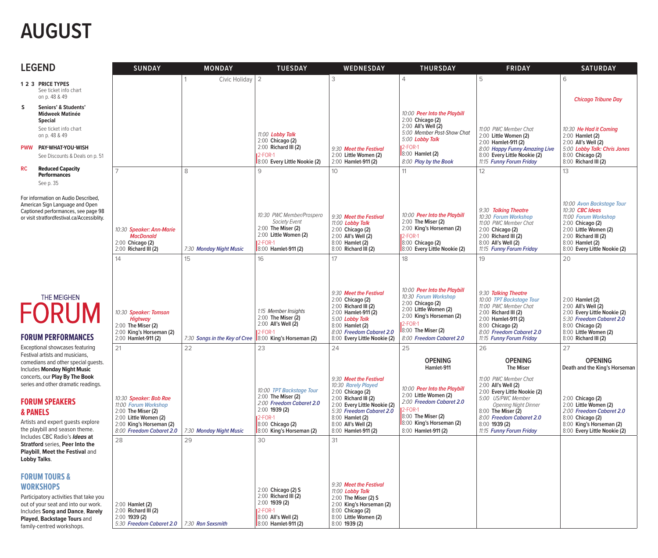# **AUGUST**

| <b>LEGEND</b>                                                                                                                                                                                                                | <b>SUNDAY</b>                                                                                                                                         | <b>MONDAY</b>                 | <b>TUESDAY</b>                                                                                                                                                 | WEDNESDAY                                                                                                                                                                                                              | <b>THURSDAY</b>                                                                                                                                                                            | <b>FRIDAY</b>                                                                                                                                                                                                             | <b>SATURDAY</b>                                                                                                                                                                                     |
|------------------------------------------------------------------------------------------------------------------------------------------------------------------------------------------------------------------------------|-------------------------------------------------------------------------------------------------------------------------------------------------------|-------------------------------|----------------------------------------------------------------------------------------------------------------------------------------------------------------|------------------------------------------------------------------------------------------------------------------------------------------------------------------------------------------------------------------------|--------------------------------------------------------------------------------------------------------------------------------------------------------------------------------------------|---------------------------------------------------------------------------------------------------------------------------------------------------------------------------------------------------------------------------|-----------------------------------------------------------------------------------------------------------------------------------------------------------------------------------------------------|
| 1 2 3 PRICE TYPES<br>See ticket info chart<br>on p. 48 & 49                                                                                                                                                                  |                                                                                                                                                       | Civic Holiday                 | $\overline{2}$                                                                                                                                                 | 3                                                                                                                                                                                                                      | $\overline{4}$                                                                                                                                                                             | 5                                                                                                                                                                                                                         | 6<br><b>Chicago Tribune Day</b>                                                                                                                                                                     |
| s<br>Seniors' & Students'<br><b>Midweek Matinée</b><br><b>Special</b><br>See ticket info chart<br>on p. 48 & 49<br>PWW PAY-WHAT-YOU-WISH<br>See Discounts & Deals on p. 51                                                   |                                                                                                                                                       |                               | 11:00 Lobby Talk<br>2:00 Chicago (2)<br>2:00 Richard III (2)<br>12-FOR-1<br>8:00 Every Little Nookie (2)                                                       | 9:30 Meet the Festival<br>2:00 Little Women (2)<br>2:00 Hamlet-911 (2)                                                                                                                                                 | 10:00 Peer Into the Playbill<br>2:00 Chicago (2)<br>2:00 All's Well (2)<br>5:00 Member Post-Show Chat<br>5:00 Lobby Talk<br><b>12-FOR-1</b><br>$8:00$ Hamlet (2)<br>8:00 Play by the Book  | 11:00 PWC Member Chat<br>2:00 Little Women (2)<br>2:00 Hamlet-911 (2)<br>8:00 Happy Funny Amazing Live<br>8:00 Every Little Nookie (2)<br>11:15 Funny Forum Friday                                                        | 10:30 He Had it Coming<br>2:00 Hamlet (2)<br>2:00 All's Well (2)<br>5:00 Lobby Talk: Chris Jones<br>8:00 Chicago (2)<br>8:00 Richard III (2)                                                        |
| <b>RC</b><br><b>Reduced Capacity</b><br><b>Performances</b><br>See p. 35                                                                                                                                                     |                                                                                                                                                       | 8                             | 9                                                                                                                                                              | 10                                                                                                                                                                                                                     | 11                                                                                                                                                                                         | 12                                                                                                                                                                                                                        | 13                                                                                                                                                                                                  |
| For information on Audio Described,<br>American Sign Language and Open<br>Captioned performances, see page 98<br>or visit stratfordfestival.ca/Accessiblity.                                                                 | 10:30 Speaker: Ann-Marie<br><b>MacDonald</b><br>2:00 Chicago (2)<br>2:00 Richard III (2)                                                              | 7:30 Monday Night Music       | 10:30 PWC Member/Prospero<br>Society Event<br>2:00 The Miser (2)<br>2:00 Little Women (2)<br>2-FOR-1<br>8:00 Hamlet-911 (2)                                    | 9:30 Meet the Festival<br>11:00 Lobby Talk<br>2:00 Chicago (2)<br>2:00 All's Well (2)<br>8:00 Hamlet (2)<br>8:00 Richard III (2)                                                                                       | 10:00 Peer Into the Playbill<br>2:00 The Miser (2)<br>2:00 King's Horseman (2)<br>$2$ -FOR-1<br>8:00 Chicago (2)<br>8:00 Every Little Nookie (2)                                           | 9:30 Talking Theatre<br>10:30 Forum Workshop<br>11:00 PWC Member Chat<br>2:00 Chicago (2)<br>2:00 Richard III (2)<br>8:00 All's Well (2)<br>11:15 Funny Forum Friday                                                      | 10:00 Avon Backstage Tour<br>10:30 <b>CBC Ideas</b><br>11:00 Forum Workshop<br>2:00 Chicago (2)<br>2:00 Little Women (2)<br>2:00 Richard III (2)<br>8:00 Hamlet (2)<br>8:00 Every Little Nookie (2) |
|                                                                                                                                                                                                                              | 14                                                                                                                                                    | 15                            | 16                                                                                                                                                             | 17                                                                                                                                                                                                                     | 18                                                                                                                                                                                         | 19                                                                                                                                                                                                                        | 20                                                                                                                                                                                                  |
| THE MEIGHEN<br><b>FORUM</b><br><b>FORUM PERFORMANCES</b>                                                                                                                                                                     | 10:30 Speaker: Tomson<br><b>Highway</b><br>2:00 The Miser (2)<br>2:00 King's Horseman (2)<br>2:00 Hamlet-911 (2)                                      | 7:30 Songs in the Key of Cree | 1:15 Member Insights<br>2:00 The Miser (2)<br>2:00 All's Well (2)<br>$2-FOR-1$<br>8:00 King's Horseman (2)                                                     | 9:30 Meet the Festival<br>2:00 Chicago (2)<br>2:00 Richard III (2)<br>2:00 Hamlet-911 (2)<br>5:00 Lobby Talk<br>8:00 Hamlet (2)<br>8:00 Freedom Cabaret 2.0<br>8:00 Every Little Nookie (2)                            | 10:00 Peer Into the Playbill<br>10:30 Forum Workshop<br>2:00 Chicago (2)<br>2:00 Little Women (2)<br>2:00 King's Horseman (2)<br>2-FOR-1<br>8:00 The Miser (2)<br>8:00 Freedom Cabaret 2.0 | 9:30 Talking Theatre<br>10:00 TPT Backstage Tour<br>11:00 PWC Member Chat<br>2:00 Richard III (2)<br>2:00 Hamlet-911 (2)<br>8:00 Chicago (2)<br>8:00 Freedom Cabaret 2.0<br>11:15 Funny Forum Friday                      | 2:00 Hamlet (2)<br>2:00 All's Well (2)<br>2:00 Every Little Nookie (2)<br>5:30 Freedom Cabaret 2.0<br>8:00 Chicago (2)<br>8:00 Little Women (2)<br>8:00 Richard III (2)                             |
| Exceptional showcases featuring<br>Festival artists and musicians,                                                                                                                                                           | 21                                                                                                                                                    | 22                            | 23                                                                                                                                                             | 24                                                                                                                                                                                                                     | 25                                                                                                                                                                                         | 26                                                                                                                                                                                                                        | 27                                                                                                                                                                                                  |
| comedians and other special guests.<br><b>Includes Monday Night Music</b>                                                                                                                                                    |                                                                                                                                                       |                               |                                                                                                                                                                |                                                                                                                                                                                                                        | <b>OPENING</b><br>Hamlet-911                                                                                                                                                               | <b>OPENING</b><br><b>The Miser</b>                                                                                                                                                                                        | <b>OPENING</b><br>Death and the King's Horseman                                                                                                                                                     |
| concerts, our Play By The Book<br>series and other dramatic readings.<br><b>FORUM SPEAKERS</b><br>& PANELS<br>Artists and expert guests explore<br>the playbill and season theme.<br>Includes CBC Radio's Ideas at           | 10:30 Speaker: Bob Rae<br>11:00 Forum Workshop<br>2:00 The Miser (2)<br>2:00 Little Women (2)<br>2:00 King's Horseman (2)<br>8:00 Freedom Cabaret 2.0 | 7:30 Monday Night Music       | 10:00 TPT Backstage Tour<br>2:00 The Miser (2)<br>2:00 Freedom Cabaret 2.0<br>2:00 1939 (2)<br><b>12-FOR-1</b><br>8:00 Chicago (2)<br>8:00 King's Horseman (2) | 9:30 Meet the Festival<br>10:30 Rarely Played<br>2:00 Chicago (2)<br>2:00 Richard III (2)<br>2:00 Every Little Nookie (2)<br>5:30 Freedom Cabaret 2.0<br>8:00 Hamlet (2)<br>8:00 All's Well (2)<br>8:00 Hamlet-911 (2) | 10:00 Peer Into the Playbill<br>2:00 Little Women (2)<br>2:00 Freedom Cabaret 2.0<br>$2$ -FOR-1<br>8:00 The Miser (2)<br>8:00 King's Horseman (2)<br>8:00 Hamlet-911 (2)                   | 11:00 PWC Member Chat<br>2:00 All's Well (2)<br>2:00 Every Little Nookie (2)<br>5:00 US/PWC Member<br>Opening Night Dinner<br>8:00 The Miser (2)<br>8:00 Freedom Cabaret 2.0<br>8:00 1939 (2)<br>11:15 Funny Forum Friday | 2:00 Chicago (2)<br>2:00 Little Women (2)<br>2:00 Freedom Cabaret 2.0<br>8:00 Chicago (2)<br>8:00 King's Horseman (2)<br>8:00 Every Little Nookie (2)                                               |
| <b>Stratford series, Peer Into the</b><br>Playbill, Meet the Festival and<br><b>Lobby Talks.</b>                                                                                                                             | 28                                                                                                                                                    | 29                            | 30                                                                                                                                                             | 31                                                                                                                                                                                                                     |                                                                                                                                                                                            |                                                                                                                                                                                                                           |                                                                                                                                                                                                     |
| <b>FORUM TOURS &amp;</b><br><b>WORKSHOPS</b><br>Participatory activities that take you<br>out of your seat and into our work.<br>Includes Song and Dance, Rarely<br>Played, Backstage Tours and<br>family-centred workshops. | 2:00 Hamlet (2)<br>2:00 Richard III (2)<br>2:00 1939 (2)<br>5:30 Freedom Cabaret 2.0 7:30 Ron Sexsmith                                                |                               | 2:00 Chicago (2) S<br>2:00 Richard III (2)<br>2:00 1939 (2)<br>$2-FOR-1$<br>8:00 All's Well (2)<br>8:00 Hamlet-911 (2)                                         | 9:30 Meet the Festival<br>11:00 Lobby Talk<br>2:00 The Miser (2) S<br>2:00 King's Horseman (2)<br>8:00 Chicago (2)<br>8:00 Little Women (2)<br>8:00 1939 (2)                                                           |                                                                                                                                                                                            |                                                                                                                                                                                                                           |                                                                                                                                                                                                     |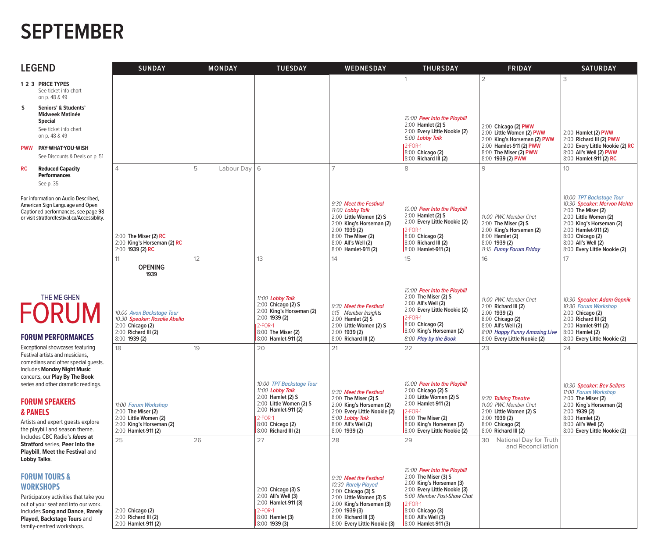#### **SEPTEMBER**

| <b>LEGEND</b>                                                                                                                                                                                         |                                                                                                                                                                                                                              | <b>SUNDAY</b>                                                                                                                   | <b>MONDAY</b>       | <b>TUESDAY</b>                                                                                                                                        | WEDNESDAY                                                                                                                                                                                             | <b>THURSDAY</b>                                                                                                                                                                                                              | <b>FRIDAY</b>                                                                                                                                                                  | <b>SATURDAY</b>                                                                                                                                                                                                                      |
|-------------------------------------------------------------------------------------------------------------------------------------------------------------------------------------------------------|------------------------------------------------------------------------------------------------------------------------------------------------------------------------------------------------------------------------------|---------------------------------------------------------------------------------------------------------------------------------|---------------------|-------------------------------------------------------------------------------------------------------------------------------------------------------|-------------------------------------------------------------------------------------------------------------------------------------------------------------------------------------------------------|------------------------------------------------------------------------------------------------------------------------------------------------------------------------------------------------------------------------------|--------------------------------------------------------------------------------------------------------------------------------------------------------------------------------|--------------------------------------------------------------------------------------------------------------------------------------------------------------------------------------------------------------------------------------|
|                                                                                                                                                                                                       | 1 2 3 PRICE TYPES<br>See ticket info chart<br>on p. 48 & 49                                                                                                                                                                  |                                                                                                                                 |                     |                                                                                                                                                       |                                                                                                                                                                                                       |                                                                                                                                                                                                                              | $\overline{2}$                                                                                                                                                                 | 3                                                                                                                                                                                                                                    |
| S                                                                                                                                                                                                     | Seniors' & Students'<br><b>Midweek Matinée</b><br><b>Special</b><br>See ticket info chart<br>on p. 48 & 49<br>PWW PAY-WHAT-YOU-WISH<br>See Discounts & Deals on p. 51                                                        |                                                                                                                                 |                     |                                                                                                                                                       |                                                                                                                                                                                                       | 10:00 Peer Into the Playbill<br>2:00 Hamlet (2) S<br>2:00 Every Little Nookie (2)<br>5:00 Lobby Talk<br>$2-FOR-1$<br>8:00 Chicago (2)<br>8:00 Richard III (2)                                                                | 2:00 Chicago (2) PWW<br>2:00 Little Women (2) PWW<br>2:00 King's Horseman (2) PWW<br>2:00 Hamlet-911 (2) PWW<br>8:00 The Miser (2) PWW<br>8:00 1939 (2) PWW                    | 2:00 Hamlet (2) PWW<br>2:00 Richard III (2) PWW<br>2:00 Every Little Nookie (2) RC<br>8:00 All's Well (2) PWW<br>8:00 Hamlet-911 (2) RC                                                                                              |
| <b>RC</b>                                                                                                                                                                                             | <b>Reduced Capacity</b><br><b>Performances</b><br>See p. 35                                                                                                                                                                  | $\Delta$                                                                                                                        | 5<br>Labour Day   6 |                                                                                                                                                       | $\overline{7}$                                                                                                                                                                                        | 8                                                                                                                                                                                                                            | 9                                                                                                                                                                              | 10                                                                                                                                                                                                                                   |
|                                                                                                                                                                                                       | For information on Audio Described,<br>American Sign Language and Open<br>Captioned performances, see page 98<br>or visit stratfordfestival.ca/Accessiblity.                                                                 | 2:00 The Miser (2) RC<br>2:00 King's Horseman (2) RC<br>2:00 1939 (2) RC                                                        |                     |                                                                                                                                                       | 9:30 Meet the Festival<br>11:00 Lobby Talk<br>2:00 Little Women (2) S<br>2:00 King's Horseman (2)<br>$2:00$ 1939 (2)<br>8:00 The Miser (2)<br>8:00 All's Well (2)<br>8:00 Hamlet-911 (2)              | 10:00 Peer Into the Playbill<br>2:00 Hamlet (2) S<br>2:00 Every Little Nookie (2)<br>12-FOR-1<br>8:00 Chicago (2)<br>8:00 Richard III (2)<br>8:00 Hamlet-911 (2)                                                             | 11:00 PWC Member Chat<br>2:00 The Miser (2) S<br>2:00 King's Horseman (2)<br>8:00 Hamlet (2)<br>8:00 1939 (2)<br>11:15 Funny Forum Friday                                      | 10:00 TPT Backstage Tour<br>10:30 Speaker: Mervon Mehta<br>2:00 The Miser (2)<br>2:00 Little Women (2)<br>2:00 King's Horseman (2)<br>2:00 Hamlet-911 (2)<br>8:00 Chicago (2)<br>8:00 All's Well (2)<br>8:00 Every Little Nookie (2) |
|                                                                                                                                                                                                       |                                                                                                                                                                                                                              | 11<br><b>OPENING</b>                                                                                                            | 12 <sup>°</sup>     | 13                                                                                                                                                    | 14                                                                                                                                                                                                    | 15                                                                                                                                                                                                                           | 16                                                                                                                                                                             | 17                                                                                                                                                                                                                                   |
|                                                                                                                                                                                                       | THE MEIGHEN<br><b>FORUM</b><br><b>FORUM PERFORMANCES</b>                                                                                                                                                                     | 1939<br>10:00 Avon Backstage Tour<br>10:30 Speaker: Rosalie Abella<br>2:00 Chicago (2)<br>2:00 Richard III (2)<br>8:00 1939 (2) |                     | 11:00 Lobby Talk<br>2:00 Chicago (2) S<br>2:00 King's Horseman (2)<br>$2:00$ 1939 (2)<br><b>12-FOR-1</b><br>8:00 The Miser (2)<br>8:00 Hamlet-911 (2) | 9:30 Meet the Festival<br>1:15 Member Insights<br>2:00 Hamlet (2) S<br>2:00 Little Women (2) S<br>$2:00$ 1939 (2)<br>8:00 Richard III (2)                                                             | 10:00 Peer Into the Playbill<br>2:00 The Miser (2) S<br>2:00 All's Well (2)<br>2:00 Every Little Nookie (2)<br>$2-FOR-1$<br>8:00 Chicago (2)<br>8:00 King's Horseman (2)<br>8:00 Play by the Book                            | 11:00 PWC Member Chat<br>$2:00$ Richard III (2)<br>$2:00$ 1939 (2)<br>8:00 Chicago (2)<br>8:00 All's Well (2)<br>8:00 Happy Funny Amazing Live<br>8:00 Every Little Nookie (2) | 10:30 Speaker: Adam Gopnik<br>10:30 Forum Workshop<br>2:00 Chicago (2)<br>$2:00$ Richard III $(2)$<br>2:00 Hamlet-911 (2)<br>8:00 Hamlet (2)<br>8:00 Every Little Nookie (2)                                                         |
|                                                                                                                                                                                                       | Exceptional showcases featuring<br>Festival artists and musicians,<br>comedians and other special guests.<br><b>Includes Monday Night Music</b><br>concerts, our Play By The Book<br>series and other dramatic readings.     | 18                                                                                                                              | 19                  | 20<br>10:00 TPT Backstage Tour<br>11:00 Lobby Talk                                                                                                    | 21<br>9:30 Meet the Festival                                                                                                                                                                          | 22<br>10:00 Peer Into the Playbill<br>2:00 Chicago (2) S                                                                                                                                                                     | 23                                                                                                                                                                             | 24<br>10:30 Speaker: Bev Sellars<br>11:00 Forum Workshop                                                                                                                                                                             |
| <b>FORUM SPEAKERS</b><br><b>&amp; PANELS</b><br>the playbill and season theme.<br>Includes CBC Radio's Ideas at<br>Stratford series, Peer Into the<br>Playbill, Meet the Festival and<br>Lobby Talks. | Artists and expert guests explore                                                                                                                                                                                            | 11:00 Forum Workshop<br>2:00 The Miser (2)<br>2:00 Little Women (2)<br>2:00 King's Horseman (2)<br>2:00 Hamlet-911 (2)          |                     | 2:00 Hamlet (2) S<br>2:00 Little Women (2) S<br>2:00 Hamlet-911 (2)<br><b>12-FOR-1</b><br>8:00 Chicago (2)<br>8:00 Richard III (2)                    | 2:00 The Miser (2) S<br>2:00 King's Horseman (2)<br>2:00 Every Little Nookie (2)<br>5:00 Lobby Talk<br>8:00 All's Well (2)<br>8:00 1939 (2)                                                           | 2:00 Little Women (2) S<br>2:00 Hamlet-911 (2)<br>2-FOR-1<br>8:00 The Miser (2)<br>8:00 King's Horseman (2)<br>8:00 Every Little Nookie (2)                                                                                  | 9:30 Talkina Theatre<br>11:00 PWC Member Chat<br>2:00 Little Women (2) S<br>2:00 1939 (2)<br>8:00 Chicago (2)<br>8:00 Richard III (2)                                          | 2:00 The Miser (2)<br>2:00 King's Horseman (2)<br>$2:00$ 1939 (2)<br>8:00 Hamlet (2)<br>8:00 All's Well (2)<br>8:00 Every Little Nookie (2)                                                                                          |
|                                                                                                                                                                                                       |                                                                                                                                                                                                                              | 25                                                                                                                              | 26                  | 27                                                                                                                                                    | 28                                                                                                                                                                                                    | 29                                                                                                                                                                                                                           | 30<br>National Day for Truth<br>and Reconciliation                                                                                                                             |                                                                                                                                                                                                                                      |
|                                                                                                                                                                                                       | <b>FORUM TOURS &amp;</b><br><b>WORKSHOPS</b><br>Participatory activities that take you<br>out of your seat and into our work.<br>Includes Song and Dance, Rarely<br>Played, Backstage Tours and<br>family-centred workshops. | 2:00 Chicago (2)<br>$2:00$ Richard III (2)<br>2:00 Hamlet-911 (2)                                                               |                     | 2:00 Chicago (3) S<br>2:00 All's Well (3)<br>2:00 Hamlet-911 (3)<br><b>12-FOR-1</b><br>$8:00$ Hamlet (3)<br>8:00 1939 (3)                             | 9:30 Meet the Festival<br>10:30 Rarely Played<br>2:00 Chicago (3) S<br>2:00 Little Women (3) S<br>2:00 King's Horseman (3)<br>$2:00$ 1939 (3)<br>8:00 Richard III (3)<br>8:00 Every Little Nookie (3) | 10:00 Peer Into the Playbill<br>2:00 The Miser (3) S<br>2:00 King's Horseman (3)<br>2:00 Every Little Nookie (3)<br>5:00 Member Post-Show Chat<br>12-FOR-1<br>8:00 Chicago (3)<br>8:00 All's Well (3)<br>8:00 Hamlet-911 (3) |                                                                                                                                                                                |                                                                                                                                                                                                                                      |